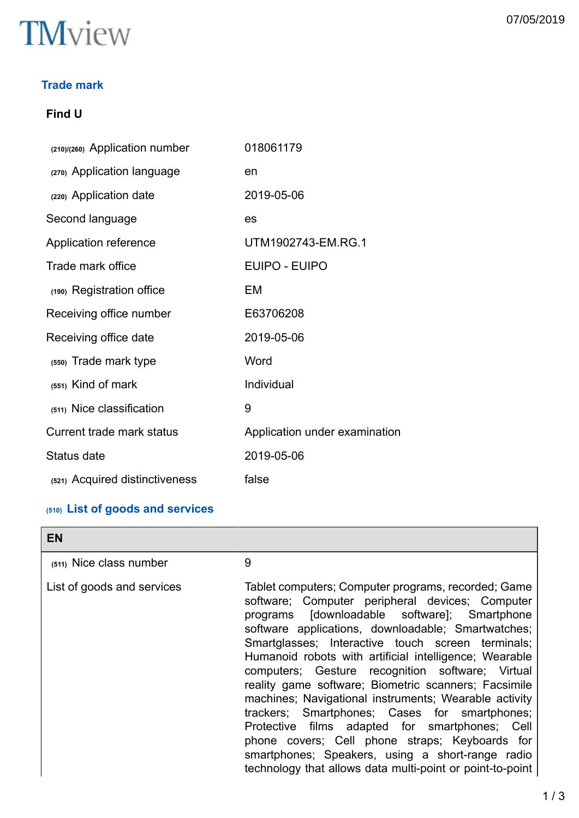

# **Trade mark**

# **Find U**

| (210)/(260) Application number   | 018061179                     |
|----------------------------------|-------------------------------|
| (270) Application language       | en                            |
| (220) Application date           | 2019-05-06                    |
| Second language                  | es                            |
| Application reference            | UTM1902743-EM.RG.1            |
| Trade mark office                | <b>EUIPO - EUIPO</b>          |
| (190) Registration office        | EM                            |
| Receiving office number          | E63706208                     |
| Receiving office date            | 2019-05-06                    |
| (550) Trade mark type            | Word                          |
| $(551)$ Kind of mark             | Individual                    |
| (511) Nice classification        | 9                             |
| <b>Current trade mark status</b> | Application under examination |
| Status date                      | 2019-05-06                    |
| (521) Acquired distinctiveness   | false                         |

# **(510) List of goods and services**

| <b>EN</b>                  |                                                                                                                                                                                                                                                                                                                                                                                                                                                                                                                                                                                                                                                                                                                                                                        |
|----------------------------|------------------------------------------------------------------------------------------------------------------------------------------------------------------------------------------------------------------------------------------------------------------------------------------------------------------------------------------------------------------------------------------------------------------------------------------------------------------------------------------------------------------------------------------------------------------------------------------------------------------------------------------------------------------------------------------------------------------------------------------------------------------------|
| (511) Nice class number    | 9                                                                                                                                                                                                                                                                                                                                                                                                                                                                                                                                                                                                                                                                                                                                                                      |
| List of goods and services | Tablet computers; Computer programs, recorded; Game<br>software; Computer peripheral devices; Computer<br>programs [downloadable software]; Smartphone<br>software applications, downloadable; Smartwatches;<br>Smartglasses; Interactive touch screen terminals;<br>Humanoid robots with artificial intelligence; Wearable<br>computers; Gesture recognition software; Virtual<br>reality game software; Biometric scanners; Facsimile<br>machines; Navigational instruments; Wearable activity<br>trackers; Smartphones; Cases for smartphones;<br>Protective films adapted for smartphones; Cell<br>phone covers; Cell phone straps; Keyboards for<br>smartphones; Speakers, using a short-range radio<br>technology that allows data multi-point or point-to-point |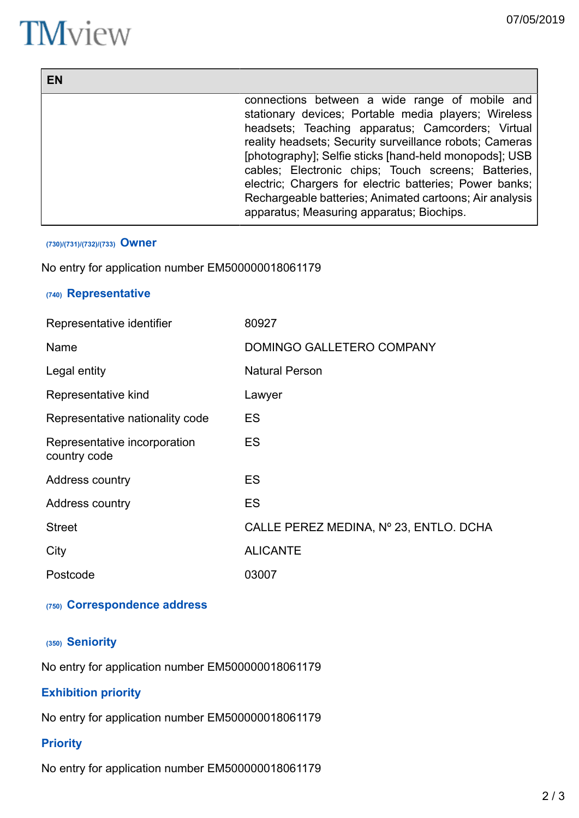# **TM**view

| EN |                                                         |
|----|---------------------------------------------------------|
|    | connections between a wide range of mobile and          |
|    | stationary devices; Portable media players; Wireless    |
|    | headsets; Teaching apparatus; Camcorders; Virtual       |
|    | reality headsets; Security surveillance robots; Cameras |
|    | [photography]; Selfie sticks [hand-held monopods]; USB  |
|    | cables; Electronic chips; Touch screens; Batteries,     |
|    | electric; Chargers for electric batteries; Power banks; |
|    | Rechargeable batteries; Animated cartoons; Air analysis |
|    | apparatus; Measuring apparatus; Biochips.               |

#### **(730)/(731)/(732)/(733) Owner**

No entry for application number EM500000018061179

# **(740) Representative**

| Representative identifier                    | 80927                                  |
|----------------------------------------------|----------------------------------------|
| Name                                         | DOMINGO GALLETERO COMPANY              |
| Legal entity                                 | <b>Natural Person</b>                  |
| Representative kind                          | Lawyer                                 |
| Representative nationality code              | <b>ES</b>                              |
| Representative incorporation<br>country code | <b>ES</b>                              |
| Address country                              | ES                                     |
| Address country                              | ES                                     |
| <b>Street</b>                                | CALLE PEREZ MEDINA, Nº 23, ENTLO. DCHA |
| City                                         | <b>ALICANTE</b>                        |
| Postcode                                     | 03007                                  |

# **(750) Correspondence address**

# **(350) Seniority**

No entry for application number EM500000018061179

# **Exhibition priority**

No entry for application number EM500000018061179

# **Priority**

No entry for application number EM500000018061179